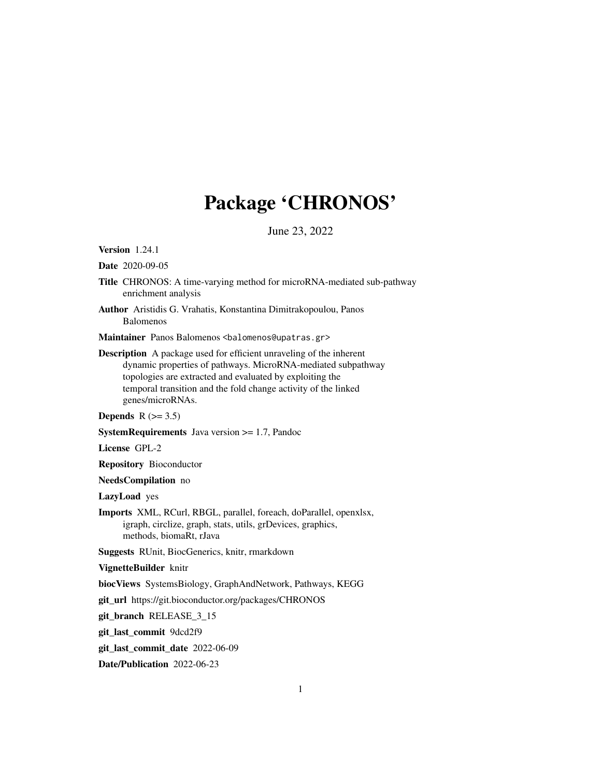## Package 'CHRONOS'

June 23, 2022

Version 1.24.1

Date 2020-09-05

- Title CHRONOS: A time-varying method for microRNA-mediated sub-pathway enrichment analysis
- Author Aristidis G. Vrahatis, Konstantina Dimitrakopoulou, Panos Balomenos

Maintainer Panos Balomenos <balomenos@upatras.gr>

Description A package used for efficient unraveling of the inherent dynamic properties of pathways. MicroRNA-mediated subpathway topologies are extracted and evaluated by exploiting the temporal transition and the fold change activity of the linked genes/microRNAs.

```
Depends R (>= 3.5)
```
SystemRequirements Java version >= 1.7, Pandoc

License GPL-2

Repository Bioconductor

NeedsCompilation no

LazyLoad yes

Imports XML, RCurl, RBGL, parallel, foreach, doParallel, openxlsx, igraph, circlize, graph, stats, utils, grDevices, graphics, methods, biomaRt, rJava

Suggests RUnit, BiocGenerics, knitr, rmarkdown

VignetteBuilder knitr

biocViews SystemsBiology, GraphAndNetwork, Pathways, KEGG

git\_url https://git.bioconductor.org/packages/CHRONOS

git\_branch RELEASE\_3\_15

git\_last\_commit 9dcd2f9

git\_last\_commit\_date 2022-06-09

Date/Publication 2022-06-23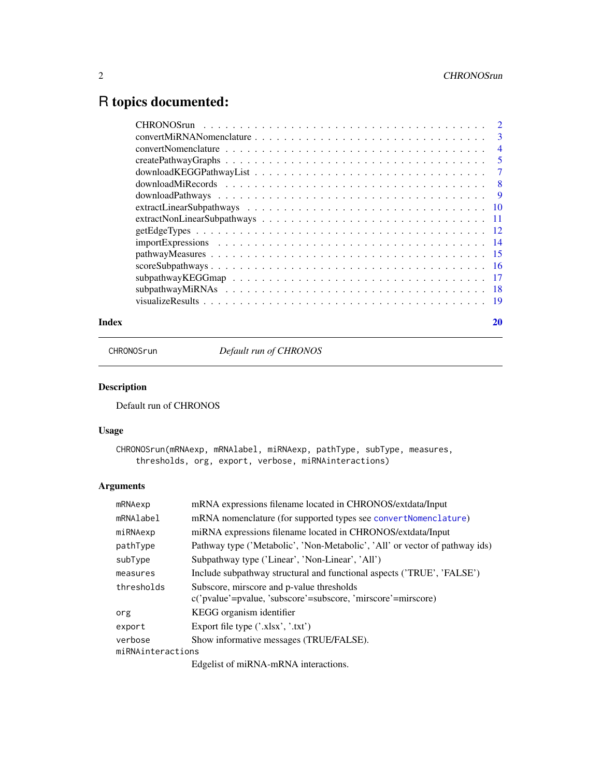## <span id="page-1-0"></span>R topics documented:

|       | $scoreSubpathways \dots \dots \dots \dots \dots \dots \dots \dots \dots \dots \dots \dots \dots \dots \dots \dots \dots \dots$ |    |
|-------|--------------------------------------------------------------------------------------------------------------------------------|----|
|       |                                                                                                                                |    |
|       |                                                                                                                                |    |
|       |                                                                                                                                |    |
| Index |                                                                                                                                | 20 |
|       |                                                                                                                                |    |

CHRONOSrun *Default run of CHRONOS*

## Description

Default run of CHRONOS

## Usage

```
CHRONOSrun(mRNAexp, mRNAlabel, miRNAexp, pathType, subType, measures,
    thresholds, org, export, verbose, miRNAinteractions)
```
## Arguments

| mRNAexp           | mRNA expressions filename located in CHRONOS/extdata/Input                                                |  |  |
|-------------------|-----------------------------------------------------------------------------------------------------------|--|--|
| mRNAlabel         | mRNA nomenclature (for supported types see convertNomenclature)                                           |  |  |
| miRNAexp          | miRNA expressions filename located in CHRONOS/extdata/Input                                               |  |  |
| pathType          | Pathway type ('Metabolic', 'Non-Metabolic', 'All' or vector of pathway ids)                               |  |  |
| subType           | Subpathway type ('Linear', 'Non-Linear', 'All')                                                           |  |  |
| measures          | Include subpathway structural and functional aspects ('TRUE', 'FALSE')                                    |  |  |
| thresholds        | Subscore, mirscore and p-value thresholds<br>c('pvalue'=pvalue, 'subscore'=subscore, 'mirscore'=mirscore) |  |  |
| org               | KEGG organism identifier                                                                                  |  |  |
| export            | Export file type $('.xlsx','.txt')$                                                                       |  |  |
| verbose           | Show informative messages (TRUE/FALSE).                                                                   |  |  |
| miRNAinteractions |                                                                                                           |  |  |
|                   |                                                                                                           |  |  |

Edgelist of miRNA-mRNA interactions.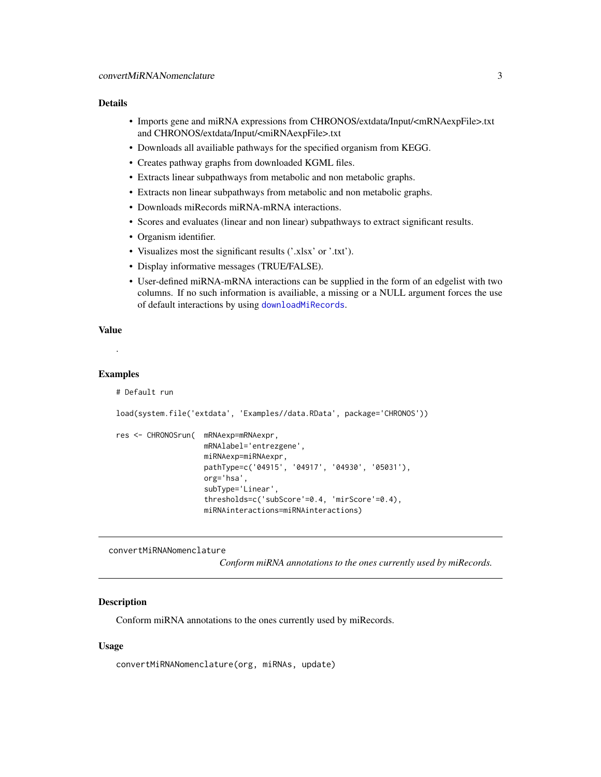#### <span id="page-2-0"></span>Details

- Imports gene and miRNA expressions from CHRONOS/extdata/Input/<mRNAexpFile>.txt and CHRONOS/extdata/Input/<miRNAexpFile>.txt
- Downloads all availiable pathways for the specified organism from KEGG.
- Creates pathway graphs from downloaded KGML files.
- Extracts linear subpathways from metabolic and non metabolic graphs.
- Extracts non linear subpathways from metabolic and non metabolic graphs.
- Downloads miRecords miRNA-mRNA interactions.
- Scores and evaluates (linear and non linear) subpathways to extract significant results.
- Organism identifier.
- Visualizes most the significant results ('.xlsx' or '.txt').
- Display informative messages (TRUE/FALSE).
- User-defined miRNA-mRNA interactions can be supplied in the form of an edgelist with two columns. If no such information is availiable, a missing or a NULL argument forces the use of default interactions by using [downloadMiRecords](#page-7-1).

## Value

```
.
```
#### Examples

```
# Default run
```

```
load(system.file('extdata', 'Examples//data.RData', package='CHRONOS'))
```

```
res <- CHRONOSrun( mRNAexp=mRNAexpr,
                    mRNAlabel='entrezgene',
                    miRNAexp=miRNAexpr,
                    pathType=c('04915', '04917', '04930', '05031'),
                    org='hsa',
                    subType='Linear',
                    thresholds=c('subScore'=0.4, 'mirScore'=0.4),
                    miRNAinteractions=miRNAinteractions)
```
convertMiRNANomenclature

*Conform miRNA annotations to the ones currently used by miRecords.*

## Description

Conform miRNA annotations to the ones currently used by miRecords.

#### Usage

```
convertMiRNANomenclature(org, miRNAs, update)
```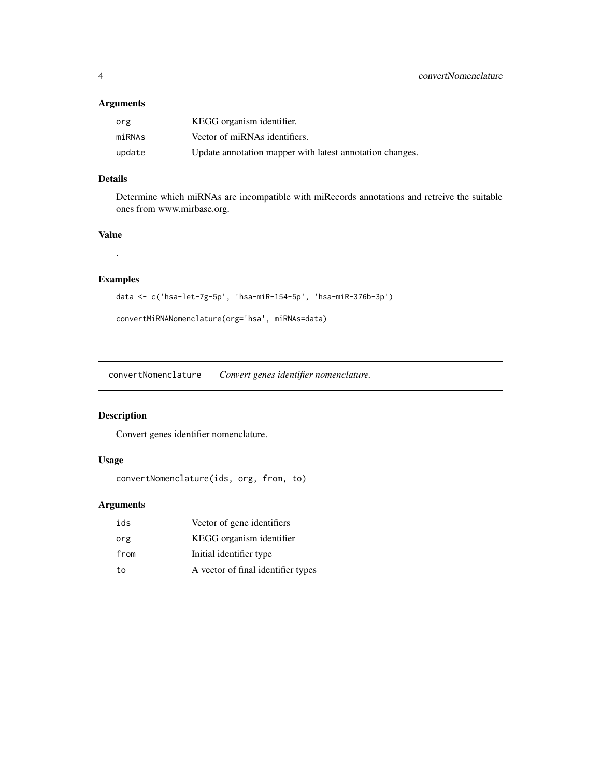## <span id="page-3-0"></span>Arguments

| org    | KEGG organism identifier.                                |
|--------|----------------------------------------------------------|
| miRNAs | Vector of miRNAs identifiers.                            |
| update | Update annotation mapper with latest annotation changes. |

## Details

Determine which miRNAs are incompatible with miRecords annotations and retreive the suitable ones from www.mirbase.org.

## Value

.

## Examples

```
data <- c('hsa-let-7g-5p', 'hsa-miR-154-5p', 'hsa-miR-376b-3p')
```
convertMiRNANomenclature(org='hsa', miRNAs=data)

<span id="page-3-1"></span>convertNomenclature *Convert genes identifier nomenclature.*

## Description

Convert genes identifier nomenclature.

## Usage

```
convertNomenclature(ids, org, from, to)
```
## Arguments

| ids  | Vector of gene identifiers         |
|------|------------------------------------|
| org  | KEGG organism identifier           |
| from | Initial identifier type            |
| to   | A vector of final identifier types |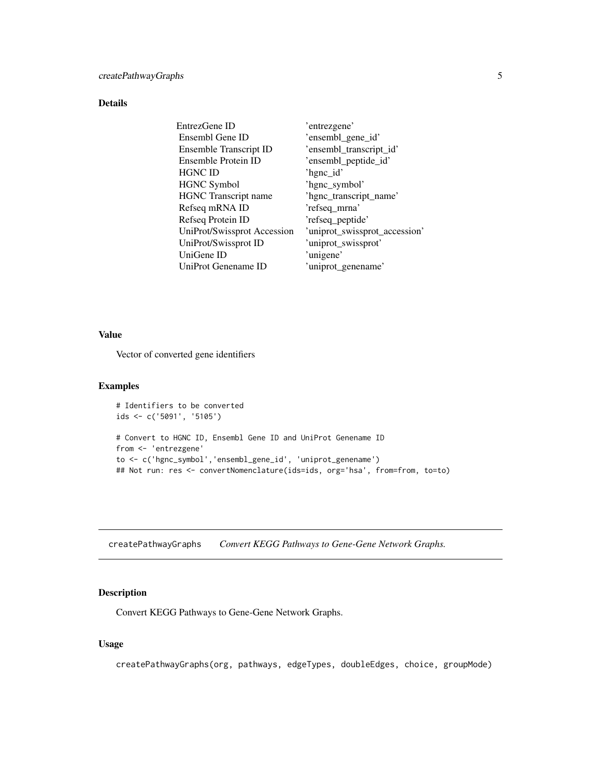## <span id="page-4-0"></span>Details

| EntrezGene ID               | 'entrezgene'                  |
|-----------------------------|-------------------------------|
| Ensembl Gene ID             | 'ensembl_gene_id'             |
| Ensemble Transcript ID      | 'ensembl_transcript_id'       |
| Ensemble Protein ID         | 'ensembl_peptide_id'          |
| <b>HGNC ID</b>              | 'hgnc_id'                     |
| <b>HGNC Symbol</b>          | 'hgnc_symbol'                 |
| <b>HGNC</b> Transcript name | 'hgnc_transcript_name'        |
| Refseq mRNA ID              | 'refseq_mrna'                 |
| Refseq Protein ID           | 'refseq_peptide'              |
| UniProt/Swissprot Accession | 'uniprot_swissprot_accession' |
| UniProt/Swissprot ID        | 'uniprot_swissprot'           |
| UniGene ID                  | 'unigene'                     |
| UniProt Genename ID         | 'uniprot_genename'            |

#### Value

Vector of converted gene identifiers

#### Examples

```
# Identifiers to be converted
ids <- c('5091', '5105')
# Convert to HGNC ID, Ensembl Gene ID and UniProt Genename ID
from <- 'entrezgene'
to <- c('hgnc_symbol','ensembl_gene_id', 'uniprot_genename')
## Not run: res <- convertNomenclature(ids=ids, org='hsa', from=from, to=to)
```
<span id="page-4-1"></span>createPathwayGraphs *Convert KEGG Pathways to Gene-Gene Network Graphs.*

## Description

Convert KEGG Pathways to Gene-Gene Network Graphs.

## Usage

createPathwayGraphs(org, pathways, edgeTypes, doubleEdges, choice, groupMode)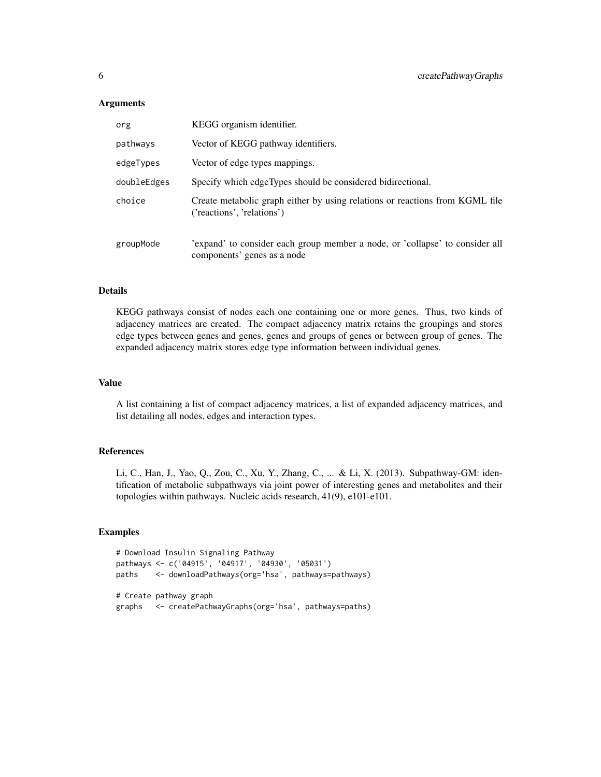## **Arguments**

| org         | KEGG organism identifier.                                                                                   |
|-------------|-------------------------------------------------------------------------------------------------------------|
| pathways    | Vector of KEGG pathway identifiers.                                                                         |
| edgeTypes   | Vector of edge types mappings.                                                                              |
| doubleEdges | Specify which edgeTypes should be considered bidirectional.                                                 |
| choice      | Create metabolic graph either by using relations or reactions from KGML file<br>('reactions', 'relations')  |
| groupMode   | 'expand' to consider each group member a node, or 'collapse' to consider all<br>components' genes as a node |

#### Details

KEGG pathways consist of nodes each one containing one or more genes. Thus, two kinds of adjacency matrices are created. The compact adjacency matrix retains the groupings and stores edge types between genes and genes, genes and groups of genes or between group of genes. The expanded adjacency matrix stores edge type information between individual genes.

#### Value

A list containing a list of compact adjacency matrices, a list of expanded adjacency matrices, and list detailing all nodes, edges and interaction types.

## References

Li, C., Han, J., Yao, Q., Zou, C., Xu, Y., Zhang, C., ... & Li, X. (2013). Subpathway-GM: identification of metabolic subpathways via joint power of interesting genes and metabolites and their topologies within pathways. Nucleic acids research, 41(9), e101-e101.

```
# Download Insulin Signaling Pathway
pathways <- c('04915', '04917', '04930', '05031')
paths <- downloadPathways(org='hsa', pathways=pathways)
# Create pathway graph
graphs <- createPathwayGraphs(org='hsa', pathways=paths)
```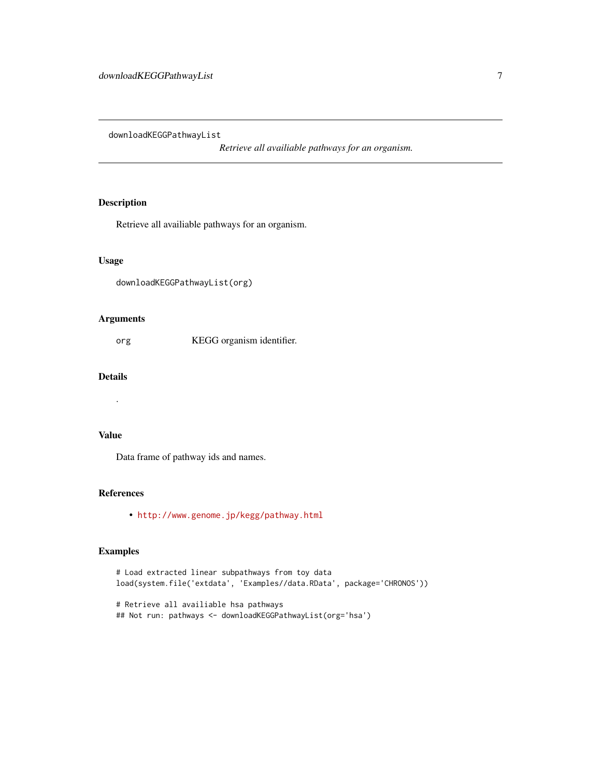<span id="page-6-1"></span><span id="page-6-0"></span>downloadKEGGPathwayList

*Retrieve all availiable pathways for an organism.*

## Description

Retrieve all availiable pathways for an organism.

#### Usage

```
downloadKEGGPathwayList(org)
```
## Arguments

org KEGG organism identifier.

## Details

.

#### Value

Data frame of pathway ids and names.

## References

• <http://www.genome.jp/kegg/pathway.html>

```
# Load extracted linear subpathways from toy data
load(system.file('extdata', 'Examples//data.RData', package='CHRONOS'))
# Retrieve all availiable hsa pathways
## Not run: pathways <- downloadKEGGPathwayList(org='hsa')
```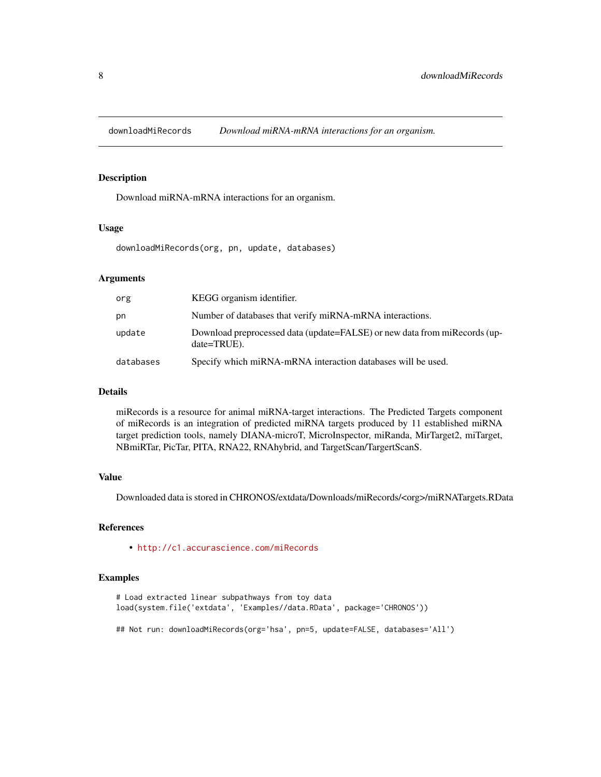<span id="page-7-1"></span><span id="page-7-0"></span>downloadMiRecords *Download miRNA-mRNA interactions for an organism.*

## Description

Download miRNA-mRNA interactions for an organism.

#### Usage

downloadMiRecords(org, pn, update, databases)

#### Arguments

| org       | KEGG organism identifier.                                                                     |
|-----------|-----------------------------------------------------------------------------------------------|
| pn        | Number of databases that verify miRNA-mRNA interactions.                                      |
| update    | Download preprocessed data (update=FALSE) or new data from miRecords (up-<br>$date = TRUE$ ). |
| databases | Specify which miRNA-mRNA interaction databases will be used.                                  |

#### Details

miRecords is a resource for animal miRNA-target interactions. The Predicted Targets component of miRecords is an integration of predicted miRNA targets produced by 11 established miRNA target prediction tools, namely DIANA-microT, MicroInspector, miRanda, MirTarget2, miTarget, NBmiRTar, PicTar, PITA, RNA22, RNAhybrid, and TargetScan/TargertScanS.

#### Value

Downloaded data is stored in CHRONOS/extdata/Downloads/miRecords/<org>/miRNATargets.RData

## References

• <http://c1.accurascience.com/miRecords>

```
# Load extracted linear subpathways from toy data
load(system.file('extdata', 'Examples//data.RData', package='CHRONOS'))
## Not run: downloadMiRecords(org='hsa', pn=5, update=FALSE, databases='All')
```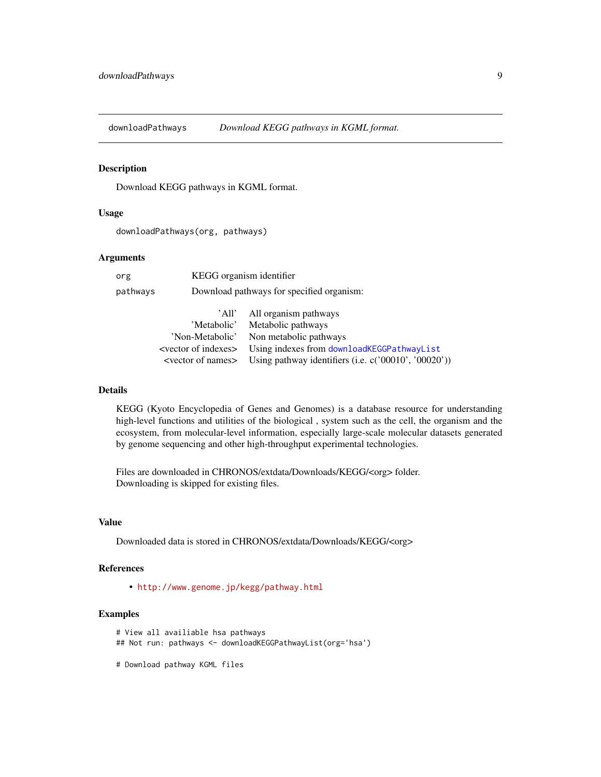<span id="page-8-0"></span>

#### Description

Download KEGG pathways in KGML format.

#### Usage

downloadPathways(org, pathways)

#### Arguments

| org      |                                    | KEGG organism identifier                             |  |  |  |
|----------|------------------------------------|------------------------------------------------------|--|--|--|
| pathways |                                    | Download pathways for specified organism:            |  |  |  |
|          | 'All'                              | All organism pathways                                |  |  |  |
|          | 'Metabolic'                        | Metabolic pathways                                   |  |  |  |
|          | 'Non-Metabolic'                    | Non metabolic pathways                               |  |  |  |
|          | <vector indexes="" of=""></vector> | Using indexes from downloadKEGGPathwayList           |  |  |  |
|          | <vector names="" of=""></vector>   | Using pathway identifiers (i.e. c('00010', '00020')) |  |  |  |
|          |                                    |                                                      |  |  |  |

#### Details

KEGG (Kyoto Encyclopedia of Genes and Genomes) is a database resource for understanding high-level functions and utilities of the biological , system such as the cell, the organism and the ecosystem, from molecular-level information, especially large-scale molecular datasets generated by genome sequencing and other high-throughput experimental technologies.

Files are downloaded in CHRONOS/extdata/Downloads/KEGG/<org> folder. Downloading is skipped for existing files.

#### Value

Downloaded data is stored in CHRONOS/extdata/Downloads/KEGG/<org>

## References

• <http://www.genome.jp/kegg/pathway.html>

## Examples

```
# View all availiable hsa pathways
## Not run: pathways <- downloadKEGGPathwayList(org='hsa')
```
# Download pathway KGML files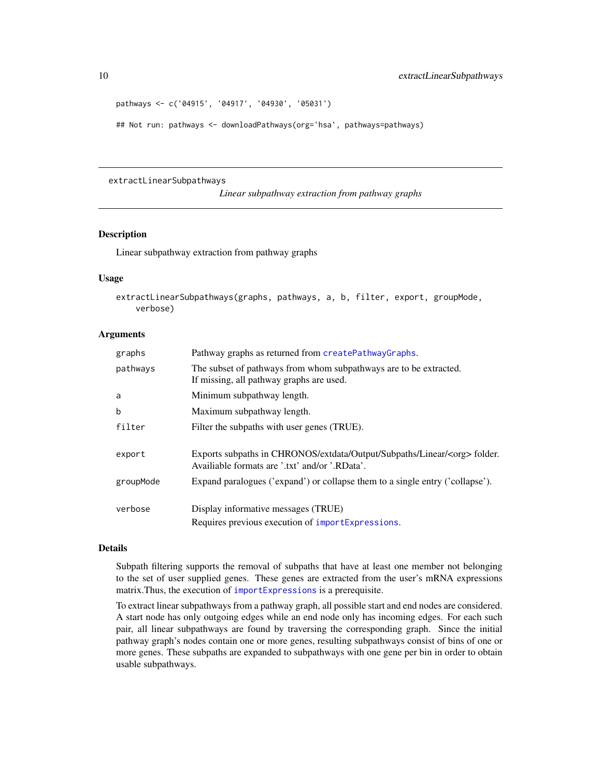```
pathways <- c('04915', '04917', '04930', '05031')
```
## Not run: pathways <- downloadPathways(org='hsa', pathways=pathways)

#### <span id="page-9-1"></span>extractLinearSubpathways

*Linear subpathway extraction from pathway graphs*

## Description

Linear subpathway extraction from pathway graphs

#### Usage

```
extractLinearSubpathways(graphs, pathways, a, b, filter, export, groupMode,
   verbose)
```
#### Arguments

| graphs    | Pathway graphs as returned from createPathwayGraphs.                                                                               |
|-----------|------------------------------------------------------------------------------------------------------------------------------------|
| pathways  | The subset of pathways from whom subpathways are to be extracted.<br>If missing, all pathway graphs are used.                      |
| a         | Minimum subpathway length.                                                                                                         |
| b         | Maximum subpathway length.                                                                                                         |
| filter    | Filter the subpaths with user genes (TRUE).                                                                                        |
| export    | Exports subpaths in CHRONOS/extdata/Output/Subpaths/Linear/ <org> folder.<br/>Availiable formats are '.txt' and/or '.RData'.</org> |
| groupMode | Expand paralogues ('expand') or collapse them to a single entry ('collapse').                                                      |
| verbose   | Display informative messages (TRUE)<br>Requires previous execution of importExpressions.                                           |

#### Details

Subpath filtering supports the removal of subpaths that have at least one member not belonging to the set of user supplied genes. These genes are extracted from the user's mRNA expressions matrix.Thus, the execution of [importExpressions](#page-13-1) is a prerequisite.

To extract linear subpathways from a pathway graph, all possible start and end nodes are considered. A start node has only outgoing edges while an end node only has incoming edges. For each such pair, all linear subpathways are found by traversing the corresponding graph. Since the initial pathway graph's nodes contain one or more genes, resulting subpathways consist of bins of one or more genes. These subpaths are expanded to subpathways with one gene per bin in order to obtain usable subpathways.

<span id="page-9-0"></span>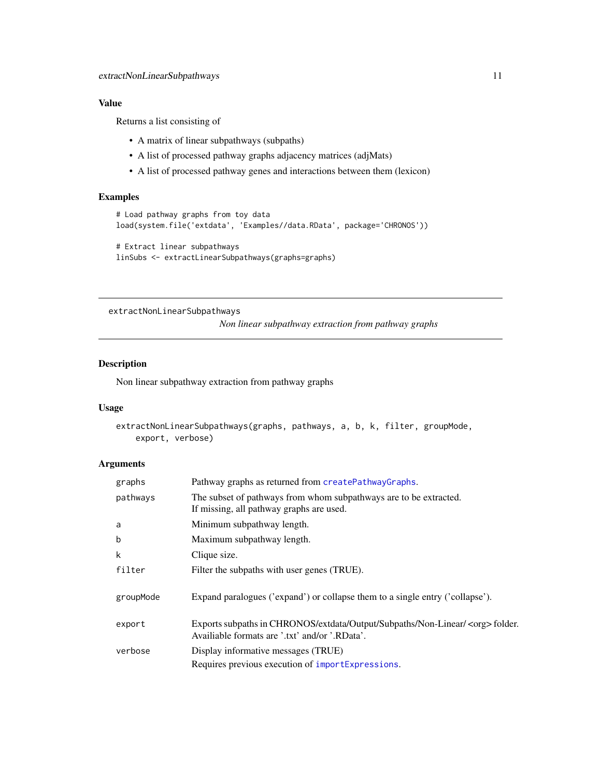## <span id="page-10-0"></span>Value

Returns a list consisting of

- A matrix of linear subpathways (subpaths)
- A list of processed pathway graphs adjacency matrices (adjMats)
- A list of processed pathway genes and interactions between them (lexicon)

## Examples

```
# Load pathway graphs from toy data
load(system.file('extdata', 'Examples//data.RData', package='CHRONOS'))
# Extract linear subpathways
linSubs <- extractLinearSubpathways(graphs=graphs)
```
<span id="page-10-1"></span>extractNonLinearSubpathways

*Non linear subpathway extraction from pathway graphs*

## Description

Non linear subpathway extraction from pathway graphs

#### Usage

```
extractNonLinearSubpathways(graphs, pathways, a, b, k, filter, groupMode,
   export, verbose)
```
## Arguments

| graphs    | Pathway graphs as returned from createPathwayGraphs.                                                                                   |  |  |  |
|-----------|----------------------------------------------------------------------------------------------------------------------------------------|--|--|--|
| pathways  | The subset of pathways from whom subpathways are to be extracted.<br>If missing, all pathway graphs are used.                          |  |  |  |
| a         | Minimum subpathway length.                                                                                                             |  |  |  |
| b         | Maximum subpathway length.                                                                                                             |  |  |  |
| k         | Clique size.                                                                                                                           |  |  |  |
| filter    | Filter the subpaths with user genes (TRUE).                                                                                            |  |  |  |
| groupMode | Expand paralogues ('expand') or collapse them to a single entry ('collapse').                                                          |  |  |  |
| export    | Exports subpaths in CHRONOS/extdata/Output/Subpaths/Non-Linear/ <org> folder.<br/>Availiable formats are '.txt' and/or '.RData'.</org> |  |  |  |
| verbose   | Display informative messages (TRUE)                                                                                                    |  |  |  |
|           | Requires previous execution of importExpressions.                                                                                      |  |  |  |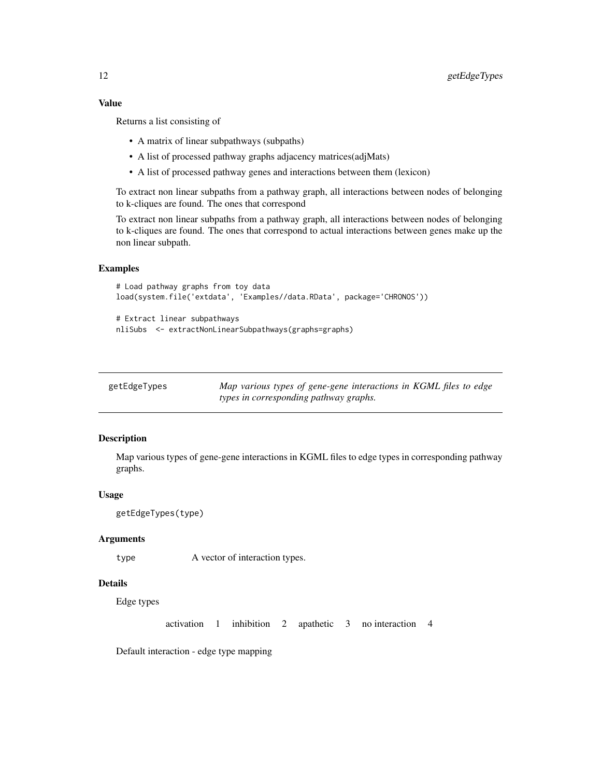#### <span id="page-11-0"></span>Value

Returns a list consisting of

- A matrix of linear subpathways (subpaths)
- A list of processed pathway graphs adjacency matrices(adjMats)
- A list of processed pathway genes and interactions between them (lexicon)

To extract non linear subpaths from a pathway graph, all interactions between nodes of belonging to k-cliques are found. The ones that correspond

To extract non linear subpaths from a pathway graph, all interactions between nodes of belonging to k-cliques are found. The ones that correspond to actual interactions between genes make up the non linear subpath.

#### Examples

```
# Load pathway graphs from toy data
load(system.file('extdata', 'Examples//data.RData', package='CHRONOS'))
# Extract linear subpathways
```
nliSubs <- extractNonLinearSubpathways(graphs=graphs)

| getEdgeTypes | Map various types of gene-gene interactions in KGML files to edge |
|--------------|-------------------------------------------------------------------|
|              | types in corresponding pathway graphs.                            |

## Description

Map various types of gene-gene interactions in KGML files to edge types in corresponding pathway graphs.

#### Usage

```
getEdgeTypes(type)
```
## Arguments

```
type A vector of interaction types.
```
## Details

Edge types

activation 1 inhibition 2 apathetic 3 no interaction 4

Default interaction - edge type mapping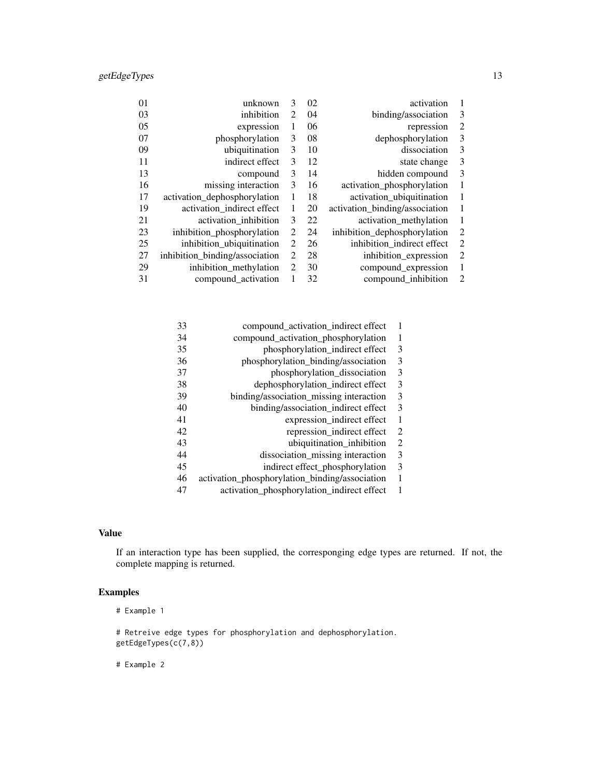| 01 | unknown                        | 3                           | 02 | activation                     | 1                           |
|----|--------------------------------|-----------------------------|----|--------------------------------|-----------------------------|
| 03 | inhibition                     | $\mathfrak{D}$              | 04 | binding/association            | 3                           |
| 05 | expression                     | 1                           | 06 | repression                     | $\overline{2}$              |
| 07 | phosphorylation                | 3                           | 08 | dephosphorylation              | 3                           |
| 09 | ubiquitination                 | 3                           | 10 | dissociation                   | 3                           |
| 11 | indirect effect                | 3                           | 12 | state change                   | 3                           |
| 13 | compound                       | 3                           | 14 | hidden compound                | 3                           |
| 16 | missing interaction            | 3                           | 16 | activation_phosphorylation     | 1                           |
| 17 | activation_dephosphorylation   | 1                           | 18 | activation_ubiquitination      | 1                           |
| 19 | activation_indirect effect     | 1                           | 20 | activation_binding/association | 1                           |
| 21 | activation_inhibition          | 3                           | 22 | activation_methylation         | 1                           |
| 23 | inhibition_phosphorylation     | 2                           | 24 | inhibition_dephosphorylation   | $\overline{2}$              |
| 25 | inhibition_ubiquitination      | $\mathcal{D}_{\mathcal{L}}$ | 26 | inhibition_indirect effect     | $\overline{2}$              |
| 27 | inhibition_binding/association | $\overline{2}$              | 28 | inhibition_expression          | $\overline{2}$              |
| 29 | inhibition_methylation         | 2                           | 30 | compound_expression            | 1                           |
| 31 | compound_activation            | 1                           | 32 | compound_inhibition            | $\mathcal{D}_{\mathcal{L}}$ |

| 33 | compound_activation_indirect effect            | 1 |
|----|------------------------------------------------|---|
| 34 | compound_activation_phosphorylation            | 1 |
| 35 | phosphorylation_indirect effect                | 3 |
| 36 | phosphorylation_binding/association            | 3 |
| 37 | phosphorylation_dissociation                   | 3 |
| 38 | dephosphorylation_indirect effect              | 3 |
| 39 | binding/association_missing interaction        | 3 |
| 40 | binding/association_indirect effect            | 3 |
| 41 | expression_indirect effect                     | 1 |
| 42 | repression_indirect effect                     | 2 |
| 43 | ubiquitination inhibition                      | 2 |
| 44 | dissociation_missing interaction               | 3 |
| 45 | indirect effect phosphorylation                | 3 |
| 46 | activation_phosphorylation_binding/association | 1 |
| 47 | activation_phosphorylation_indirect effect     |   |
|    |                                                |   |

## Value

If an interaction type has been supplied, the corresponging edge types are returned. If not, the complete mapping is returned.

## Examples

# Example 1

# Retreive edge types for phosphorylation and dephosphorylation. getEdgeTypes(c(7,8))

# Example 2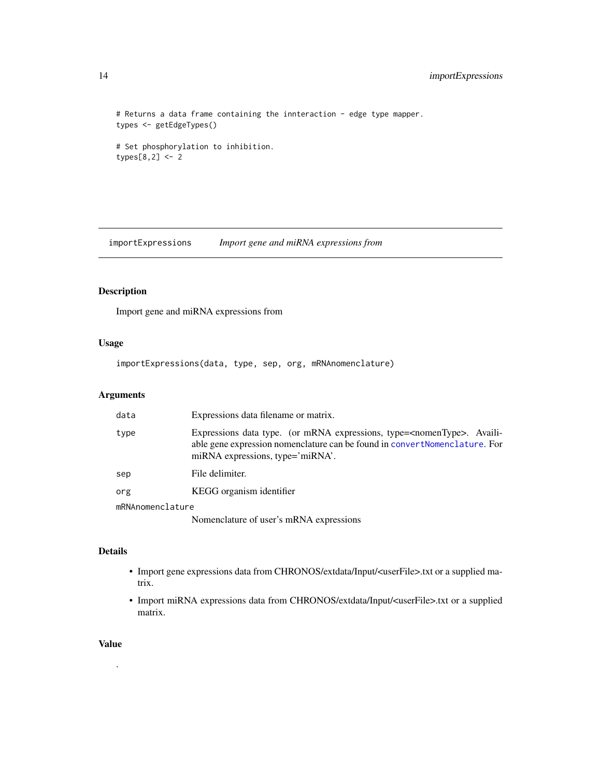```
# Returns a data frame containing the innteraction - edge type mapper.
types <- getEdgeTypes()
# Set phosphorylation to inhibition.
```
types[8,2] <- 2

<span id="page-13-1"></span>importExpressions *Import gene and miRNA expressions from*

## Description

Import gene and miRNA expressions from

## Usage

importExpressions(data, type, sep, org, mRNAnomenclature)

## Arguments

| data             | Expressions data filename or matrix.                                                                                                                                                                    |
|------------------|---------------------------------------------------------------------------------------------------------------------------------------------------------------------------------------------------------|
| type             | Expressions data type. (or mRNA expressions, type= <nomentype>. Availi-<br/>able gene expression nomenclature can be found in convertNomenclature. For<br/>miRNA expressions, type='miRNA'.</nomentype> |
| sep              | File delimiter.                                                                                                                                                                                         |
| org              | KEGG organism identifier                                                                                                                                                                                |
| mRNAnomenclature |                                                                                                                                                                                                         |
|                  | Nomenclature of user's mRNA expressions                                                                                                                                                                 |

## Details

- Import gene expressions data from CHRONOS/extdata/Input/<userFile>.txt or a supplied matrix.
- Import miRNA expressions data from CHRONOS/extdata/Input/<userFile>.txt or a supplied matrix.

#### Value

.

<span id="page-13-0"></span>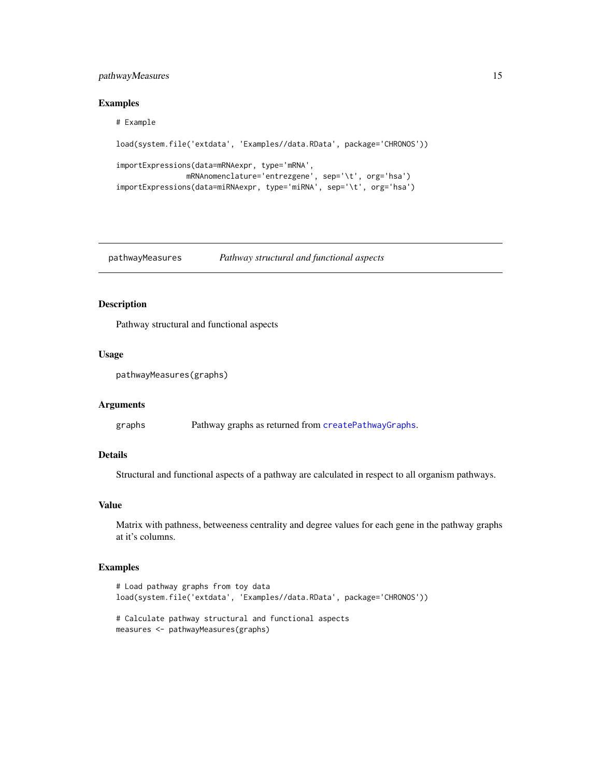## <span id="page-14-0"></span>pathwayMeasures 15

#### Examples

#### # Example

```
load(system.file('extdata', 'Examples//data.RData', package='CHRONOS'))
importExpressions(data=mRNAexpr, type='mRNA',
               mRNAnomenclature='entrezgene', sep='\t', org='hsa')
importExpressions(data=miRNAexpr, type='miRNA', sep='\t', org='hsa')
```
<span id="page-14-1"></span>pathwayMeasures *Pathway structural and functional aspects*

## Description

Pathway structural and functional aspects

#### Usage

pathwayMeasures(graphs)

#### Arguments

graphs Pathway graphs as returned from [createPathwayGraphs](#page-4-1).

#### Details

Structural and functional aspects of a pathway are calculated in respect to all organism pathways.

#### Value

Matrix with pathness, betweeness centrality and degree values for each gene in the pathway graphs at it's columns.

```
# Load pathway graphs from toy data
load(system.file('extdata', 'Examples//data.RData', package='CHRONOS'))
# Calculate pathway structural and functional aspects
measures <- pathwayMeasures(graphs)
```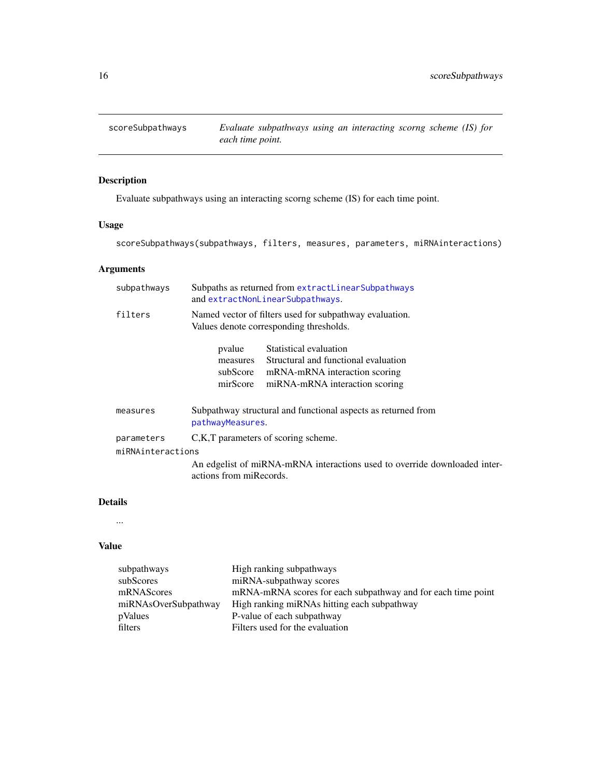<span id="page-15-1"></span><span id="page-15-0"></span>

## Description

Evaluate subpathways using an interacting scorng scheme (IS) for each time point.

## Usage

scoreSubpathways(subpathways, filters, measures, parameters, miRNAinteractions)

## Arguments

|                   | subpathways | Subpaths as returned from extractLinearSubpathways<br>and extractNonLinearSubpathways.                                                                                          |
|-------------------|-------------|---------------------------------------------------------------------------------------------------------------------------------------------------------------------------------|
|                   | filters     | Named vector of filters used for subpathway evaluation.<br>Values denote corresponding thresholds.                                                                              |
|                   |             | Statistical evaluation<br>pvalue<br>Structural and functional evaluation<br>measures<br>subScore<br>mRNA-mRNA interaction scoring<br>mirScore<br>miRNA-mRNA interaction scoring |
|                   | measures    | Subpathway structural and functional aspects as returned from<br>pathwayMeasures.                                                                                               |
|                   | parameters  | C, K, T parameters of scoring scheme.                                                                                                                                           |
| miRNAinteractions |             |                                                                                                                                                                                 |
|                   |             | An edgelist of miRNA-mRNA interactions used to override downloaded inter-<br>actions from miRecords.                                                                            |
|                   |             |                                                                                                                                                                                 |

## Details

...

## Value

| subpathways          | High ranking subpathways                                     |
|----------------------|--------------------------------------------------------------|
| subScores            | miRNA-subpathway scores                                      |
| mRNAScores           | mRNA-mRNA scores for each subpathway and for each time point |
| miRNAsOverSubpathway | High ranking miRNAs hitting each subpathway                  |
| pValues              | P-value of each subpathway                                   |
| filters              | Filters used for the evaluation                              |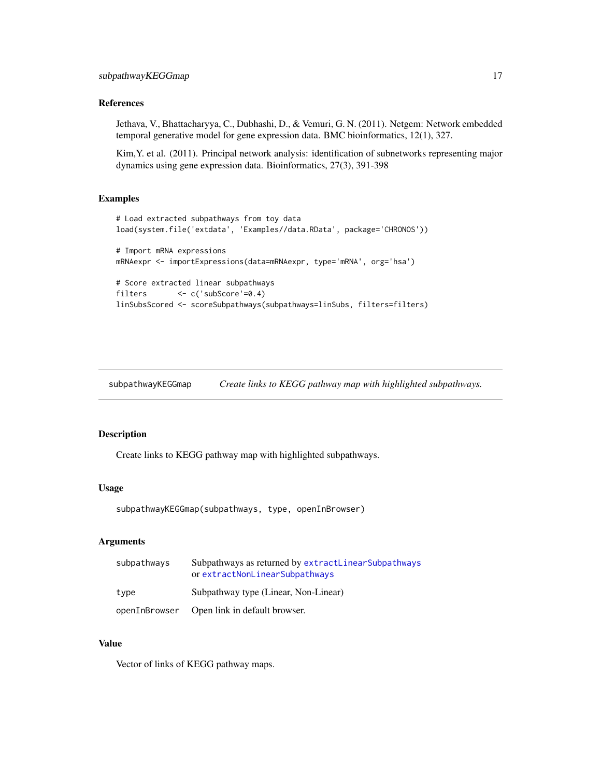### <span id="page-16-0"></span>References

Jethava, V., Bhattacharyya, C., Dubhashi, D., & Vemuri, G. N. (2011). Netgem: Network embedded temporal generative model for gene expression data. BMC bioinformatics, 12(1), 327.

Kim,Y. et al. (2011). Principal network analysis: identification of subnetworks representing major dynamics using gene expression data. Bioinformatics, 27(3), 391-398

#### Examples

```
# Load extracted subpathways from toy data
load(system.file('extdata', 'Examples//data.RData', package='CHRONOS'))
# Import mRNA expressions
mRNAexpr <- importExpressions(data=mRNAexpr, type='mRNA', org='hsa')
# Score extracted linear subpathways
filters <- c('subScore'=0.4)
linSubsScored <- scoreSubpathways(subpathways=linSubs, filters=filters)
```
subpathwayKEGGmap *Create links to KEGG pathway map with highlighted subpathways.*

#### Description

Create links to KEGG pathway map with highlighted subpathways.

#### Usage

```
subpathwayKEGGmap(subpathways, type, openInBrowser)
```
### Arguments

| subpathways   | Subpathways as returned by extractLinearSubpathways<br>or extractNonLinearSubpathways |  |
|---------------|---------------------------------------------------------------------------------------|--|
| type          | Subpathway type (Linear, Non-Linear)                                                  |  |
| openInBrowser | Open link in default browser.                                                         |  |

## Value

Vector of links of KEGG pathway maps.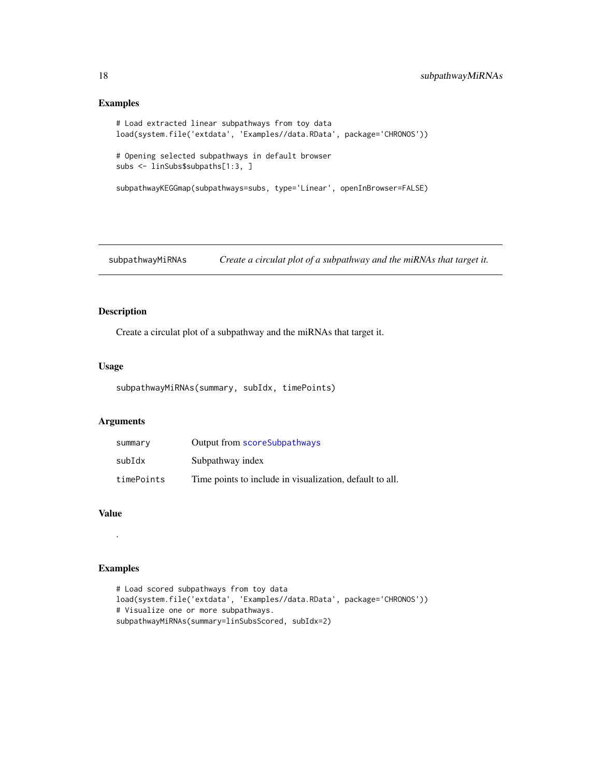## Examples

```
# Load extracted linear subpathways from toy data
load(system.file('extdata', 'Examples//data.RData', package='CHRONOS'))
# Opening selected subpathways in default browser
subs <- linSubs$subpaths[1:3, ]
subpathwayKEGGmap(subpathways=subs, type='Linear', openInBrowser=FALSE)
```
subpathwayMiRNAs *Create a circulat plot of a subpathway and the miRNAs that target it.*

## Description

Create a circulat plot of a subpathway and the miRNAs that target it.

#### Usage

```
subpathwayMiRNAs(summary, subIdx, timePoints)
```
## Arguments

| summary    | Output from scoreSubpathways                             |
|------------|----------------------------------------------------------|
| subIdx     | Subpathway index                                         |
| timePoints | Time points to include in visualization, default to all. |

## Value

.

```
# Load scored subpathways from toy data
load(system.file('extdata', 'Examples//data.RData', package='CHRONOS'))
# Visualize one or more subpathways.
subpathwayMiRNAs(summary=linSubsScored, subIdx=2)
```
<span id="page-17-0"></span>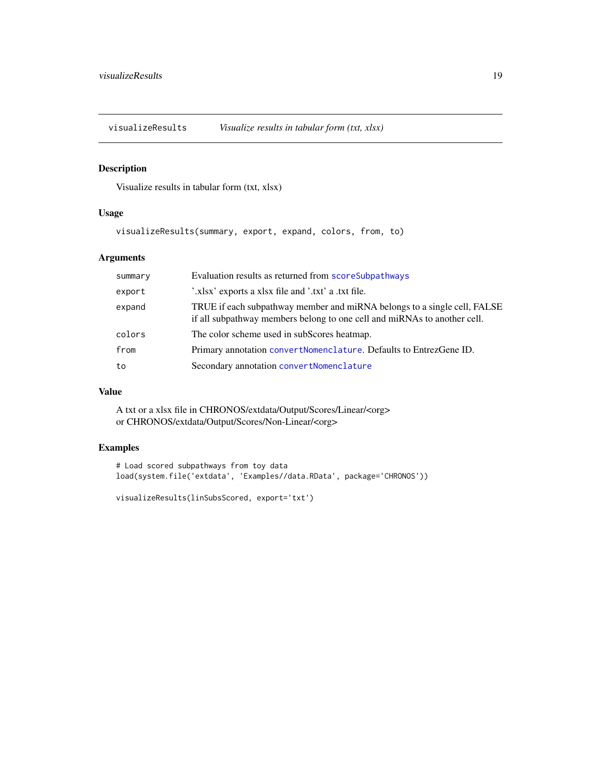<span id="page-18-0"></span>

## Description

Visualize results in tabular form (txt, xlsx)

## Usage

visualizeResults(summary, export, expand, colors, from, to)

## Arguments

| summary | Evaluation results as returned from scoreSubpathways                                                                                                 |
|---------|------------------------------------------------------------------------------------------------------------------------------------------------------|
| export  | '.xlsx' exports a xlsx file and '.txt' a .txt file.                                                                                                  |
| expand  | TRUE if each subpathway member and miRNA belongs to a single cell, FALSE<br>if all subpathway members belong to one cell and miRNAs to another cell. |
| colors  | The color scheme used in subScores heatmap.                                                                                                          |
| from    | Primary annotation convertNomenclature. Defaults to EntrezGene ID.                                                                                   |
| to      | Secondary annotation convertNomenclature                                                                                                             |

## Value

A txt or a xlsx file in CHRONOS/extdata/Output/Scores/Linear/<org> or CHRONOS/extdata/Output/Scores/Non-Linear/<org>

## Examples

# Load scored subpathways from toy data load(system.file('extdata', 'Examples//data.RData', package='CHRONOS'))

visualizeResults(linSubsScored, export='txt')